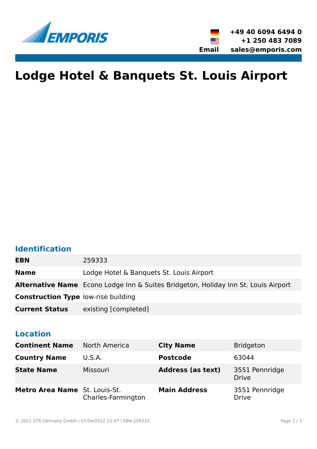

# **Lodge Hotel & Banquets St. Louis Airport**

### **Identification**

| <b>EBN</b>                                 | 259333                                                                                    |
|--------------------------------------------|-------------------------------------------------------------------------------------------|
| <b>Name</b>                                | Lodge Hotel & Banquets St. Louis Airport                                                  |
|                                            | <b>Alternative Name</b> Econo Lodge Inn & Suites Bridgeton, Holiday Inn St. Louis Airport |
| <b>Construction Type low-rise building</b> |                                                                                           |
| <b>Current Status</b>                      | existing [completed]                                                                      |

### **Location**

| <b>Continent Name</b>         | <b>North America</b> | <b>City Name</b>         | <b>Bridgeton</b>               |
|-------------------------------|----------------------|--------------------------|--------------------------------|
| <b>Country Name</b>           | U.S.A.               | <b>Postcode</b>          | 63044                          |
| <b>State Name</b>             | Missouri             | <b>Address (as text)</b> | 3551 Pennridge<br><b>Drive</b> |
| Metro Area Name St. Louis-St. | Charles-Farmington   | <b>Main Address</b>      | 3551 Pennridge<br><b>Drive</b> |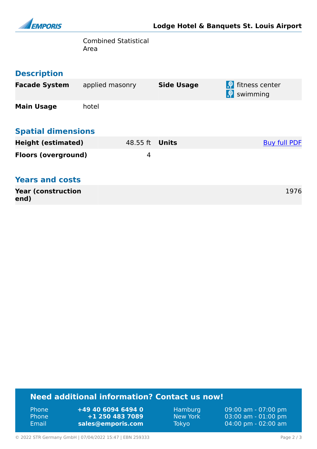

Combined Statistical Area

### **Description**

| <b>Facade System</b>       | applied masonry | <b>Side Usage</b> | $\bigoplus$ fitness center<br>$\left  \cdot \right $ swimming |
|----------------------------|-----------------|-------------------|---------------------------------------------------------------|
| <b>Main Usage</b>          | hotel           |                   |                                                               |
| <b>Spatial dimensions</b>  |                 |                   |                                                               |
| <b>Height (estimated)</b>  | 48.55 ft        | Units             | <b>Buy full PDF</b>                                           |
| <b>Floors (overground)</b> | 4               |                   |                                                               |

### **Years and costs**

| <b>Year (construction</b> | 1976 |
|---------------------------|------|
| end)                      |      |

### **Need additional information? Contact us now!**

| <b>Phone</b> | +49 40 6094 6494 0 |
|--------------|--------------------|
| 'Phone       | +1 250 483 7089    |
| Email        | sales@emporis.com  |

Hamburg 09:00 am - 07:00 pm<br>New York 03:00 am - 01:00 pm New York 03:00 am - 01:00 pm<br>Tokyo 04:00 pm - 02:00 am 04:00 pm - 02:00 am